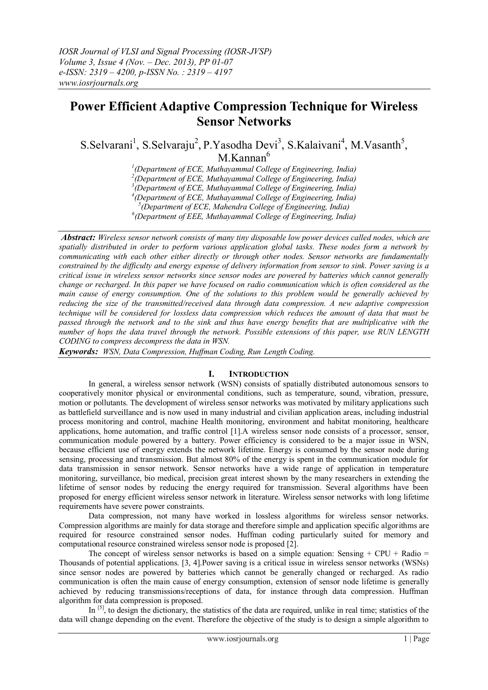# **Power Efficient Adaptive Compression Technique for Wireless Sensor Networks**

S.Selvarani<sup>1</sup>, S.Selvaraju<sup>2</sup>, P.Yasodha Devi<sup>3</sup>, S.Kalaivani<sup>4</sup>, M.Vasanth<sup>5</sup>, M.Kannan<sup>6</sup>

*1 (Department of ECE, Muthayammal College of Engineering, India)*

*2 (Department of ECE, Muthayammal College of Engineering, India)*

*3 (Department of ECE, Muthayammal College of Engineering, India)* 

*4 (Department of ECE, Muthayammal College of Engineering, India)* 

*5 (Department of ECE, Mahendra College of Engineering, India)* 

*6 (Department of EEE, Muthayammal College of Engineering, India)*

*Abstract: Wireless sensor network consists of many tiny disposable low power devices called nodes, which are spatially distributed in order to perform various application global tasks. These nodes form a network by communicating with each other either directly or through other nodes. Sensor networks are fundamentally constrained by the difficulty and energy expense of delivery information from sensor to sink. Power saving is a critical issue in wireless sensor networks since sensor nodes are powered by batteries which cannot generally change or recharged. In this paper we have focused on radio communication which is often considered as the main cause of energy consumption. One of the solutions to this problem would be generally achieved by reducing the size of the transmitted/received data through data compression. A new adaptive compression technique will be considered for lossless data compression which reduces the amount of data that must be passed through the network and to the sink and thus have energy benefits that are multiplicative with the number of hops the data travel through the network. Possible extensions of this paper, use RUN LENGTH CODING to compress decompress the data in WSN.*

*Keywords: WSN, Data Compression, Huffman Coding, Run Length Coding.*

# **I. INTRODUCTION**

In general, a wireless sensor network (WSN) consists of spatially distributed autonomous sensors to cooperatively monitor physical or environmental conditions, such as temperature, sound, vibration, pressure, motion or pollutants. The development of wireless sensor networks was motivated by military applications such as battlefield surveillance and is now used in many industrial and civilian application areas, including industrial process monitoring and control, machine Health monitoring, environment and habitat monitoring, healthcare applications, home automation, and traffic control [1].A wireless sensor node consists of a processor, sensor, communication module powered by a battery. Power efficiency is considered to be a major issue in WSN, because efficient use of energy extends the network lifetime. Energy is consumed by the sensor node during sensing, processing and transmission. But almost 80% of the energy is spent in the communication module for data transmission in sensor network. Sensor networks have a wide range of application in temperature monitoring, surveillance, bio medical, precision great interest shown by the many researchers in extending the lifetime of sensor nodes by reducing the energy required for transmission. Several algorithms have been proposed for energy efficient wireless sensor network in literature. Wireless sensor networks with long lifetime requirements have severe power constraints.

Data compression, not many have worked in lossless algorithms for wireless sensor networks. Compression algorithms are mainly for data storage and therefore simple and application specific algorithms are required for resource constrained sensor nodes. Huffman coding particularly suited for memory and computational resource constrained wireless sensor node is proposed [2].

The concept of wireless sensor networks is based on a simple equation: Sensing + CPU + Radio = Thousands of potential applications. [3, 4].Power saving is a critical issue in wireless sensor networks (WSNs) since sensor nodes are powered by batteries which cannot be generally changed or recharged. As radio communication is often the main cause of energy consumption, extension of sensor node lifetime is generally achieved by reducing transmissions/receptions of data, for instance through data compression. Huffman algorithm for data compression is proposed.

In <sup>[5]</sup>, to design the dictionary, the statistics of the data are required, unlike in real time; statistics of the data will change depending on the event. Therefore the objective of the study is to design a simple algorithm to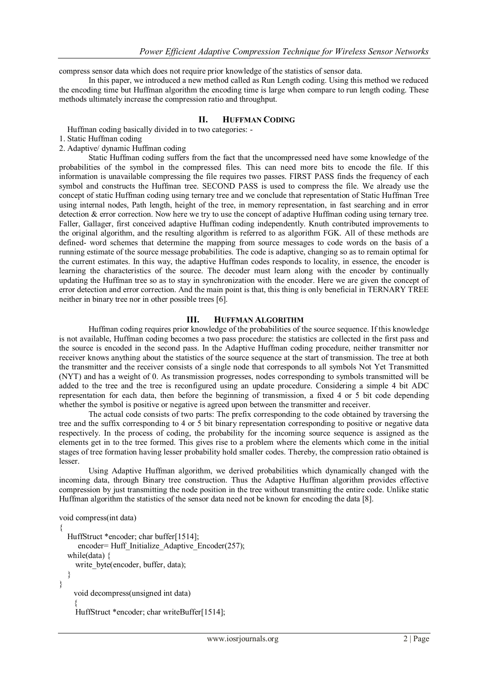compress sensor data which does not require prior knowledge of the statistics of sensor data.

In this paper, we introduced a new method called as Run Length coding. Using this method we reduced the encoding time but Huffman algorithm the encoding time is large when compare to run length coding. These methods ultimately increase the compression ratio and throughput.

#### **II. HUFFMAN CODING**

Huffman coding basically divided in to two categories: -

- 1. Static Huffman coding
- 2. Adaptive/ dynamic Huffman coding

Static Huffman coding suffers from the fact that the uncompressed need have some knowledge of the probabilities of the symbol in the compressed files. This can need more bits to encode the file. If this information is unavailable compressing the file requires two passes. FIRST PASS finds the frequency of each symbol and constructs the Huffman tree. SECOND PASS is used to compress the file. We already use the concept of static Huffman coding using ternary tree and we conclude that representation of Static Huffman Tree using internal nodes, Path length, height of the tree, in memory representation, in fast searching and in error detection & error correction. Now here we try to use the concept of adaptive Huffman coding using ternary tree. Faller, Gallager, first conceived adaptive Huffman coding independently. Knuth contributed improvements to the original algorithm, and the resulting algorithm is referred to as algorithm FGK. All of these methods are defined- word schemes that determine the mapping from source messages to code words on the basis of a running estimate of the source message probabilities. The code is adaptive, changing so as to remain optimal for the current estimates. In this way, the adaptive Huffman codes responds to locality, in essence, the encoder is learning the characteristics of the source. The decoder must learn along with the encoder by continually updating the Huffman tree so as to stay in synchronization with the encoder. Here we are given the concept of error detection and error correction. And the main point is that, this thing is only beneficial in TERNARY TREE neither in binary tree nor in other possible trees [6].

## **III. HUFFMAN ALGORITHM**

Huffman coding requires prior knowledge of the probabilities of the source sequence. If this knowledge is not available, Huffman coding becomes a two pass procedure: the statistics are collected in the first pass and the source is encoded in the second pass. In the Adaptive Huffman coding procedure, neither transmitter nor receiver knows anything about the statistics of the source sequence at the start of transmission. The tree at both the transmitter and the receiver consists of a single node that corresponds to all symbols Not Yet Transmitted (NYT) and has a weight of 0. As transmission progresses, nodes corresponding to symbols transmitted will be added to the tree and the tree is reconfigured using an update procedure. Considering a simple 4 bit ADC representation for each data, then before the beginning of transmission, a fixed 4 or 5 bit code depending whether the symbol is positive or negative is agreed upon between the transmitter and receiver.

The actual code consists of two parts: The prefix corresponding to the code obtained by traversing the tree and the suffix corresponding to 4 or 5 bit binary representation corresponding to positive or negative data respectively. In the process of coding, the probability for the incoming source sequence is assigned as the elements get in to the tree formed. This gives rise to a problem where the elements which come in the initial stages of tree formation having lesser probability hold smaller codes. Thereby, the compression ratio obtained is lesser.

Using Adaptive Huffman algorithm, we derived probabilities which dynamically changed with the incoming data, through Binary tree construction. Thus the Adaptive Huffman algorithm provides effective compression by just transmitting the node position in the tree without transmitting the entire code. Unlike static Huffman algorithm the statistics of the sensor data need not be known for encoding the data [8].

void compress(int data)

```
{
  HuffStruct *encoder; char buffer[1514];
     encoder= Huff_Initialize_Adaptive_Encoder(257);
  while(data) {
    write_byte(encoder, buffer, data);
  }
}
    void decompress(unsigned int data)
    {
    HuffStruct *encoder; char writeBuffer[1514];
```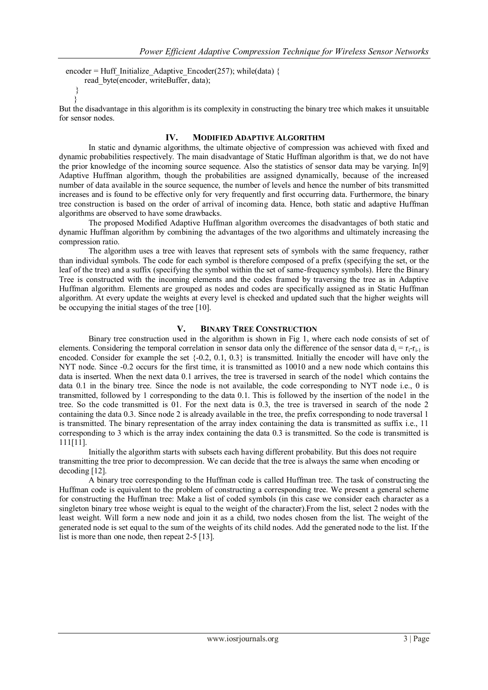```
encoder = Huff_Initialize_Adaptive_Encoder(257); while(data) {
     read byte(encoder, writeBuffer, data);
   }
```
} But the disadvantage in this algorithm is its complexity in constructing the binary tree which makes it unsuitable for sensor nodes.

## **IV. MODIFIED ADAPTIVE ALGORITHM**

In static and dynamic algorithms, the ultimate objective of compression was achieved with fixed and dynamic probabilities respectively. The main disadvantage of Static Huffman algorithm is that, we do not have the prior knowledge of the incoming source sequence. Also the statistics of sensor data may be varying. In[9] Adaptive Huffman algorithm, though the probabilities are assigned dynamically, because of the increased number of data available in the source sequence, the number of levels and hence the number of bits transmitted increases and is found to be effective only for very frequently and first occurring data. Furthermore, the binary tree construction is based on the order of arrival of incoming data. Hence, both static and adaptive Huffman algorithms are observed to have some drawbacks.

The proposed Modified Adaptive Huffman algorithm overcomes the disadvantages of both static and dynamic Huffman algorithm by combining the advantages of the two algorithms and ultimately increasing the compression ratio.

The algorithm uses a tree with leaves that represent sets of symbols with the same frequency, rather than individual symbols. The code for each symbol is therefore composed of a prefix (specifying the set, or the leaf of the tree) and a suffix (specifying the symbol within the set of same-frequency symbols). Here the Binary Tree is constructed with the incoming elements and the codes framed by traversing the tree as in Adaptive Huffman algorithm. Elements are grouped as nodes and codes are specifically assigned as in Static Huffman algorithm. At every update the weights at every level is checked and updated such that the higher weights will be occupying the initial stages of the tree [10].

# **V. BINARY TREE CONSTRUCTION**

Binary tree construction used in the algorithm is shown in Fig 1, where each node consists of set of elements. Considering the temporal correlation in sensor data only the difference of the sensor data  $d_i = r_i - r_{i-1}$  is encoded. Consider for example the set  $\{-0.2, 0.1, 0.3\}$  is transmitted. Initially the encoder will have only the NYT node. Since -0.2 occurs for the first time, it is transmitted as 10010 and a new node which contains this data is inserted. When the next data 0.1 arrives, the tree is traversed in search of the node1 which contains the data 0.1 in the binary tree. Since the node is not available, the code corresponding to NYT node i.e., 0 is transmitted, followed by 1 corresponding to the data 0.1. This is followed by the insertion of the node1 in the tree. So the code transmitted is 01. For the next data is 0.3, the tree is traversed in search of the node 2 containing the data 0.3. Since node 2 is already available in the tree, the prefix corresponding to node traversal 1 is transmitted. The binary representation of the array index containing the data is transmitted as suffix i.e., 11 corresponding to 3 which is the array index containing the data 0.3 is transmitted. So the code is transmitted is 111[11].

Initially the algorithm starts with subsets each having different probability. But this does not require transmitting the tree prior to decompression. We can decide that the tree is always the same when encoding or decoding [12].

A binary tree corresponding to the Huffman code is called Huffman tree. The task of constructing the Huffman code is equivalent to the problem of constructing a corresponding tree. We present a general scheme for constructing the Huffman tree: Make a list of coded symbols (in this case we consider each character as a singleton binary tree whose weight is equal to the weight of the character).From the list, select 2 nodes with the least weight. Will form a new node and join it as a child, two nodes chosen from the list. The weight of the generated node is set equal to the sum of the weights of its child nodes. Add the generated node to the list. If the list is more than one node, then repeat 2-5 [13].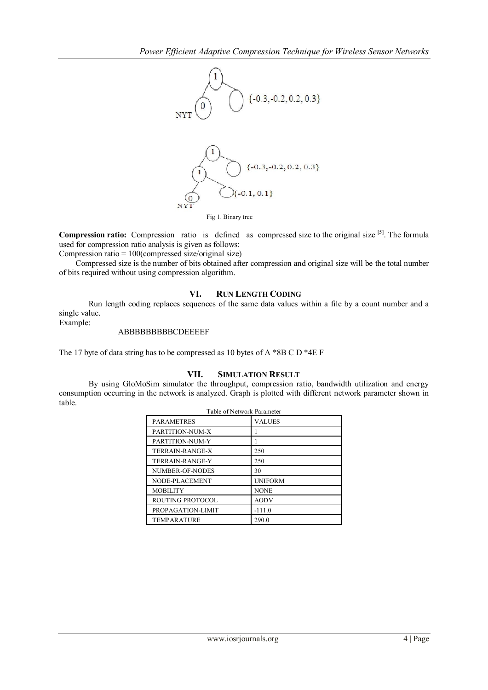

**Compression ratio:** Compression ratio is defined as compressed size to the original size <sup>[5]</sup>. The formula used for compression ratio analysis is given as follows:

Compression ratio = 100(compressed size/original size)

Compressed size is the number of bits obtained after compression and original size will be the total number of bits required without using compression algorithm.

# **VI. RUN LENGTH CODING**

Run length coding replaces sequences of the same data values within a file by a count number and a single value.

Example:

# ABBBBBBBBBCDEEEEF

The 17 byte of data string has to be compressed as 10 bytes of A \*8B C D \*4E F

# **VII. SIMULATION RESULT**

By using GloMoSim simulator the throughput, compression ratio, bandwidth utilization and energy consumption occurring in the network is analyzed. Graph is plotted with different network parameter shown in table.

| Table of Network Parameter |                |
|----------------------------|----------------|
| <b>PARAMETRES</b>          | <b>VALUES</b>  |
| PARTITION-NUM-X            |                |
| PARTITION-NUM-Y            |                |
| TERRAIN-RANGE-X            | 250            |
| <b>TERRAIN-RANGE-Y</b>     | 250            |
| NUMBER-OF-NODES            | 30             |
| NODE-PLACEMENT             | <b>UNIFORM</b> |
| <b>MOBILITY</b>            | <b>NONE</b>    |
| ROUTING PROTOCOL           | <b>AODV</b>    |
| PROPAGATION-LIMIT          | $-111.0$       |
| <b>TEMPARATURE</b>         | 290.0          |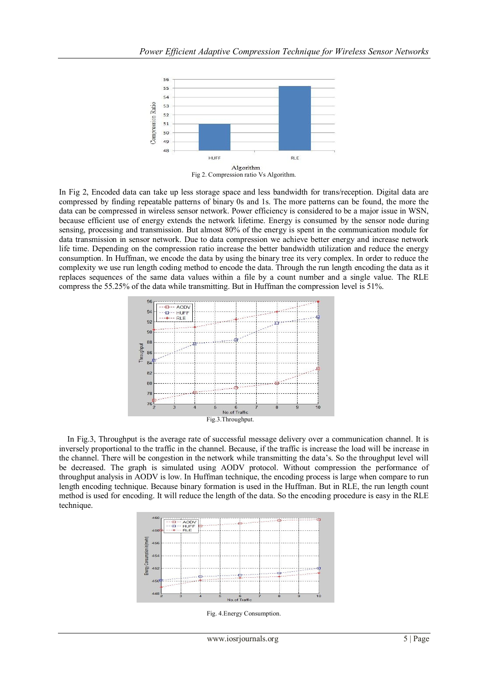

In Fig 2, Encoded data can take up less storage space and less bandwidth for trans/reception. Digital data are compressed by finding repeatable patterns of binary 0s and 1s. The more patterns can be found, the more the data can be compressed in wireless sensor network. Power efficiency is considered to be a major issue in WSN, because efficient use of energy extends the network lifetime. Energy is consumed by the sensor node during sensing, processing and transmission. But almost 80% of the energy is spent in the communication module for data transmission in sensor network. Due to data compression we achieve better energy and increase network life time. Depending on the compression ratio increase the better bandwidth utilization and reduce the energy consumption. In Huffman, we encode the data by using the binary tree its very complex. In order to reduce the complexity we use run length coding method to encode the data. Through the run length encoding the data as it replaces sequences of the same data values within a file by a count number and a single value. The RLE compress the 55.25% of the data while transmitting. But in Huffman the compression level is 51%.



In Fig.3, Throughput is the average rate of successful message delivery over a communication channel. It is inversely proportional to the traffic in the channel. Because, if the traffic is increase the load will be increase in the channel. There will be congestion in the network while transmitting the data's. So the throughput level will be decreased. The graph is simulated using AODV protocol. Without compression the performance of throughput analysis in AODV is low. In Huffman technique, the encoding process is large when compare to run length encoding technique. Because binary formation is used in the Huffman. But in RLE, the run length count method is used for encoding. It will reduce the length of the data. So the encoding procedure is easy in the RLE technique.



Fig. 4.Energy Consumption.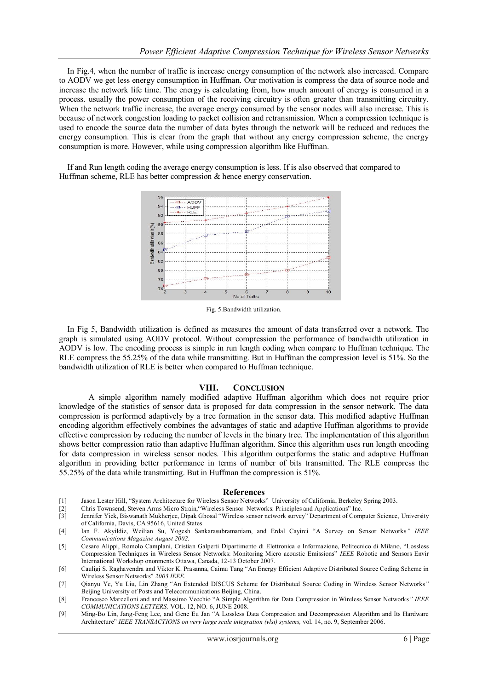In Fig.4, when the number of traffic is increase energy consumption of the network also increased. Compare to AODV we get less energy consumption in Huffman. Our motivation is compress the data of source node and increase the network life time. The energy is calculating from, how much amount of energy is consumed in a process. usually the power consumption of the receiving circuitry is often greater than transmitting circuitry. When the network traffic increase, the average energy consumed by the sensor nodes will also increase. This is because of network congestion loading to packet collision and retransmission. When a compression technique is used to encode the source data the number of data bytes through the network will be reduced and reduces the energy consumption. This is clear from the graph that without any energy compression scheme, the energy consumption is more. However, while using compression algorithm like Huffman.

If and Run length coding the average energy consumption is less. If is also observed that compared to Huffman scheme, RLE has better compression & hence energy conservation.



Fig. 5.Bandwidth utilization.

In Fig 5, Bandwidth utilization is defined as measures the amount of data transferred over a network. The graph is simulated using AODV protocol. Without compression the performance of bandwidth utilization in AODV is low. The encoding process is simple in run length coding when compare to Huffman technique. The RLE compress the 55.25% of the data while transmitting. But in Huffman the compression level is 51%. So the bandwidth utilization of RLE is better when compared to Huffman technique.

#### **VIII. CONCLUSION**

A simple algorithm namely modified adaptive Huffman algorithm which does not require prior knowledge of the statistics of sensor data is proposed for data compression in the sensor network. The data compression is performed adaptively by a tree formation in the sensor data. This modified adaptive Huffman encoding algorithm effectively combines the advantages of static and adaptive Huffman algorithms to provide effective compression by reducing the number of levels in the binary tree. The implementation of this algorithm shows better compression ratio than adaptive Huffman algorithm. Since this algorithm uses run length encoding for data compression in wireless sensor nodes. This algorithm outperforms the static and adaptive Huffman algorithm in providing better performance in terms of number of bits transmitted. The RLE compress the 55.25% of the data while transmitting. But in Huffman the compression is 51%.

#### **References**

- [1] Jason Lester Hill, "System Architecture for Wireless Sensor Networks" University of California, Berkeley Spring 2003.
- [2] Chris Townsend, Steven Arms Micro Strain,"Wireless Sensor Networks: Principles and Applications" Inc.
- Jennifer Yick, Biswanath Mukherjee, Dipak Ghosal "Wireless sensor network survey" Department of Computer Science, University of California, Davis, CA 95616, United States
- [4] Ian F. Akyildiz, Weilian Su, Yogesh Sankarasubramaniam, and Erdal Cayirci "A Survey on Sensor Networks*" IEEE Communications Magazine August 2002.*
- [5] Cesare Alippi, Romolo Camplani, Cristian Galperti Dipartimento di Elettronica e Informazione, Politecnico di Milano, "Lossless Compression Techniques in Wireless Sensor Networks: Monitoring Micro acoustic Emissions" *IEEE* Robotic and Sensors Envir International Workshop ononments Ottawa, Canada, 12-13 October 2007.
- [6] Cauligi S. Raghavendra and Viktor K. Prasanna, Caimu Tang "An Energy Efficient Adaptive Distributed Source Coding Scheme in Wireless Sensor Networks" *2003 IEEE.*
- [7] Qianyu Ye, Yu Liu, Lin Zhang "An Extended DISCUS Scheme for Distributed Source Coding in Wireless Sensor Networks*"*  Beijing University of Posts and Telecommunications Beijing, China.
- [8] Francesco Marcelloni and and Massimo Vecchio "A Simple Algorithm for Data Compression in Wireless Sensor Networks*" IEEE COMMUNICATIONS LETTERS,* VOL. 12, NO. 6, JUNE 2008.
- [9] Ming-Bo Lin, Jang-Feng Lee, and Gene Eu Jan "A Lossless Data Compression and Decompression Algorithm and Its Hardware Architecture" *IEEE TRANSACTIONS on very large scale integration (vlsi) systems,* vol. 14, no. 9, September 2006.